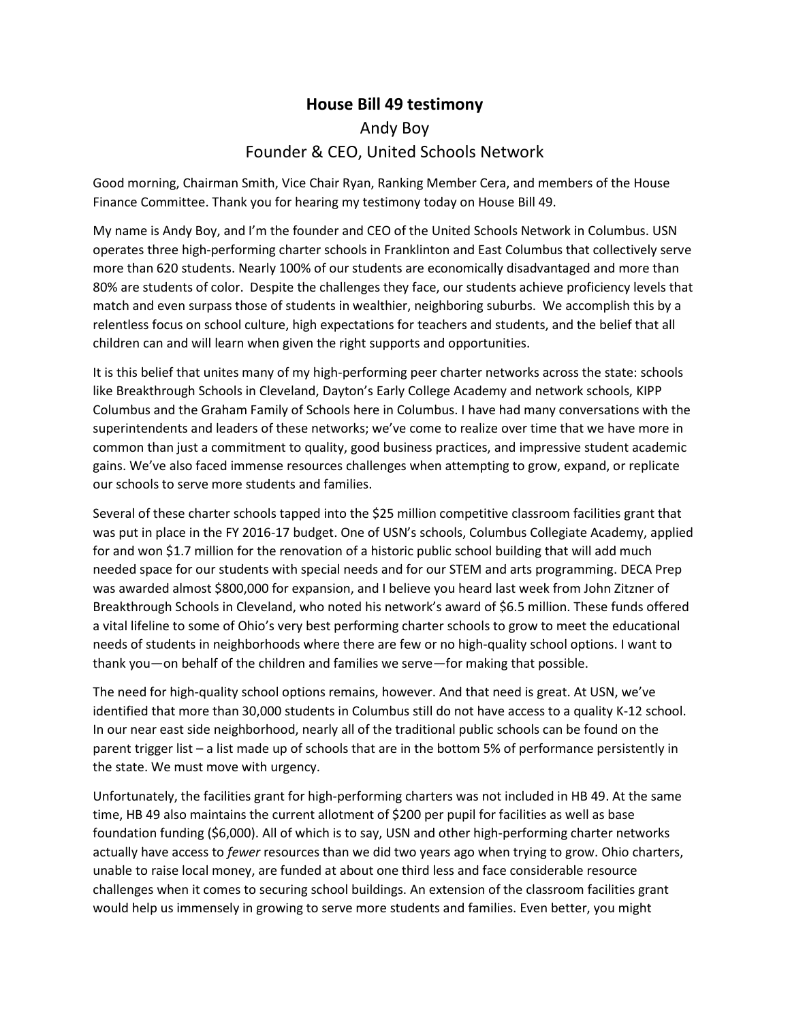## **House Bill 49 testimony** Andy Boy Founder & CEO, United Schools Network

Good morning, Chairman Smith, Vice Chair Ryan, Ranking Member Cera, and members of the House Finance Committee. Thank you for hearing my testimony today on House Bill 49.

My name is Andy Boy, and I'm the founder and CEO of the United Schools Network in Columbus. USN operates three high-performing charter schools in Franklinton and East Columbus that collectively serve more than 620 students. Nearly 100% of our students are economically disadvantaged and more than 80% are students of color. Despite the challenges they face, our students achieve proficiency levels that match and even surpass those of students in wealthier, neighboring suburbs. We accomplish this by a relentless focus on school culture, high expectations for teachers and students, and the belief that all children can and will learn when given the right supports and opportunities.

It is this belief that unites many of my high-performing peer charter networks across the state: schools like Breakthrough Schools in Cleveland, Dayton's Early College Academy and network schools, KIPP Columbus and the Graham Family of Schools here in Columbus. I have had many conversations with the superintendents and leaders of these networks; we've come to realize over time that we have more in common than just a commitment to quality, good business practices, and impressive student academic gains. We've also faced immense resources challenges when attempting to grow, expand, or replicate our schools to serve more students and families.

Several of these charter schools tapped into the \$25 million competitive classroom facilities grant that was put in place in the FY 2016-17 budget. One of USN's schools, Columbus Collegiate Academy, applied for and won \$1.7 million for the renovation of a historic public school building that will add much needed space for our students with special needs and for our STEM and arts programming. DECA Prep was awarded almost \$800,000 for expansion, and I believe you heard last week from John Zitzner of Breakthrough Schools in Cleveland, who noted his network's award of \$6.5 million. These funds offered a vital lifeline to some of Ohio's very best performing charter schools to grow to meet the educational needs of students in neighborhoods where there are few or no high-quality school options. I want to thank you—on behalf of the children and families we serve—for making that possible.

The need for high-quality school options remains, however. And that need is great. At USN, we've identified that more than 30,000 students in Columbus still do not have access to a quality K-12 school. In our near east side neighborhood, nearly all of the traditional public schools can be found on the parent trigger list – a list made up of schools that are in the bottom 5% of performance persistently in the state. We must move with urgency.

Unfortunately, the facilities grant for high-performing charters was not included in HB 49. At the same time, HB 49 also maintains the current allotment of \$200 per pupil for facilities as well as base foundation funding (\$6,000). All of which is to say, USN and other high-performing charter networks actually have access to *fewer* resources than we did two years ago when trying to grow. Ohio charters, unable to raise local money, are funded at about one third less and face considerable resource challenges when it comes to securing school buildings. An extension of the classroom facilities grant would help us immensely in growing to serve more students and families. Even better, you might